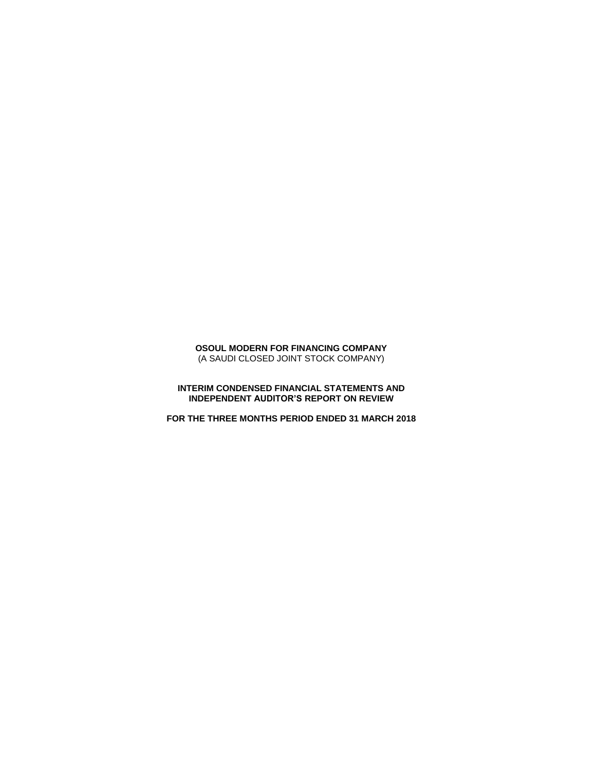# **OSOUL MODERN FOR FINANCING COMPANY** (A SAUDI CLOSED JOINT STOCK COMPANY)

### **INTERIM CONDENSED FINANCIAL STATEMENTS AND INDEPENDENT AUDITOR'S REPORT ON REVIEW**

**FOR THE THREE MONTHS PERIOD ENDED 31 MARCH 2018**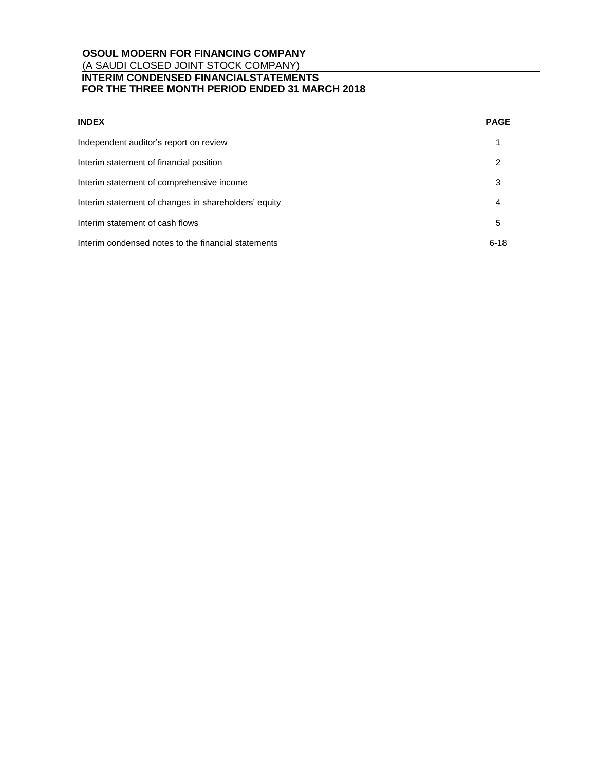| <b>INDEX</b>                                         | <b>PAGE</b> |
|------------------------------------------------------|-------------|
| Independent auditor's report on review               | 1           |
| Interim statement of financial position              | 2           |
| Interim statement of comprehensive income            | 3           |
| Interim statement of changes in shareholders' equity | 4           |
| Interim statement of cash flows                      | 5           |
| Interim condensed notes to the financial statements  | $6 - 18$    |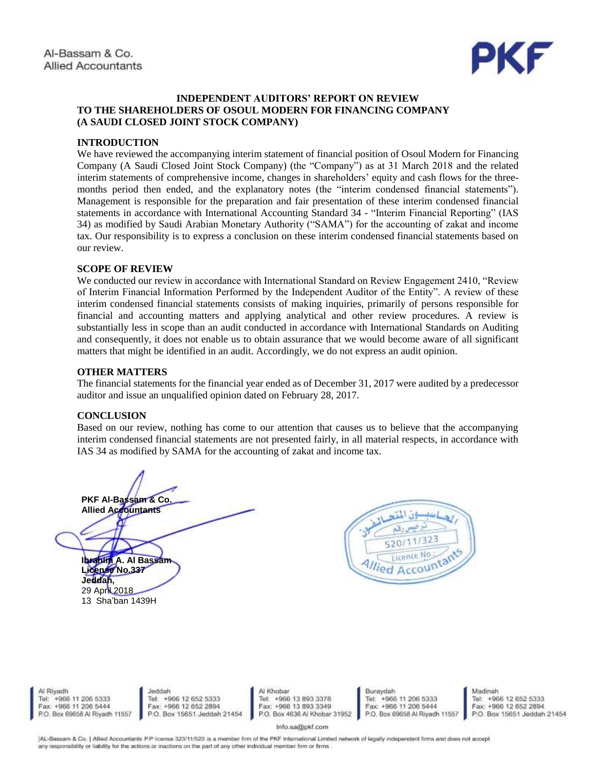

# **INDEPENDENT AUDITORS' REPORT ON REVIEW TO THE SHAREHOLDERS OF OSOUL MODERN FOR FINANCING COMPANY (A SAUDI CLOSED JOINT STOCK COMPANY)**

# **INTRODUCTION**

We have reviewed the accompanying interim statement of financial position of Osoul Modern for Financing Company (A Saudi Closed Joint Stock Company) (the "Company") as at 31 March 2018 and the related interim statements of comprehensive income, changes in shareholders' equity and cash flows for the threemonths period then ended, and the explanatory notes (the "interim condensed financial statements"). Management is responsible for the preparation and fair presentation of these interim condensed financial statements in accordance with International Accounting Standard 34 - "Interim Financial Reporting" (IAS 34) as modified by Saudi Arabian Monetary Authority ("SAMA") for the accounting of zakat and income tax. Our responsibility is to express a conclusion on these interim condensed financial statements based on our review.

# **SCOPE OF REVIEW**

We conducted our review in accordance with International Standard on Review Engagement 2410, "Review of Interim Financial Information Performed by the Independent Auditor of the Entity". A review of these interim condensed financial statements consists of making inquiries, primarily of persons responsible for financial and accounting matters and applying analytical and other review procedures. A review is substantially less in scope than an audit conducted in accordance with International Standards on Auditing and consequently, it does not enable us to obtain assurance that we would become aware of all significant matters that might be identified in an audit. Accordingly, we do not express an audit opinion.

# **OTHER MATTERS**

The financial statements for the financial year ended as of December 31, 2017 were audited by a predecessor auditor and issue an unqualified opinion dated on February 28, 2017.

# **CONCLUSION**

Based on our review, nothing has come to our attention that causes us to believe that the accompanying interim condensed financial statements are not presented fairly, in all material respects, in accordance with IAS 34 as modified by SAMA for the accounting of zakat and income tax.

**PKF Al-Bassam & Co. Allied Accountants**

**Ibrahim A. Al Bassam License No.337 Jeddah,**  29 April 2018 13 Sha'ban 1439H



Al Riyadh Tel: +966 11 206 5333 Fax: +966 11 206 5444 P.O. Box 69658 Al Riyadh 11557

Jeddah Tel: +966 12 652 5333 Fax: +966 12 652 2894 P.O. Box 15651 Jeddah 21454 Al Khobar Tel: +966 13 893 3378 Fax: +966 13 893 3349<br>P.O. Box 4636 Al Khobar 31952 Buraydah Tel: +966 11 206 5333 Fax: +966 11 206 5444 P.O. Box 69658 Al Riyadh 11557

Madinah Tel: +966 12 652 5333 Fax: +966 12 652 2894 P.O. Box 15651 Jeddah 21454

Info.sa@pkf.com

[AL-Bassam & Co. ] Allied Accountants P.P license 323/11/520 is a member firm of the PKF International Limited network of legally independent firms and does not accept any responsibility or liability for the actions or inactions on the part of any other individual member firm or firms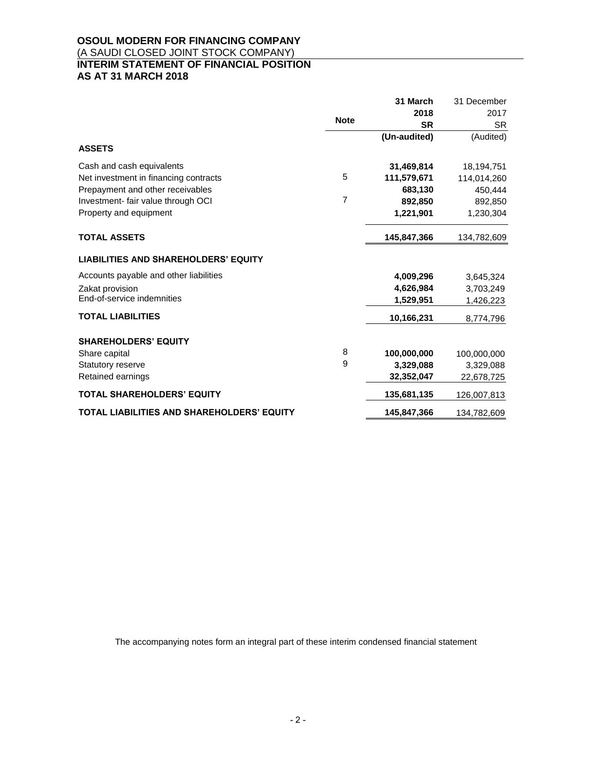# **OSOUL MODERN FOR FINANCING COMPANY** (A SAUDI CLOSED JOINT STOCK COMPANY) **INTERIM STATEMENT OF FINANCIAL POSITION AS AT 31 MARCH 2018**

|                                             |                | 31 March     | 31 December |
|---------------------------------------------|----------------|--------------|-------------|
|                                             |                | 2018         | 2017        |
|                                             | <b>Note</b>    | <b>SR</b>    | <b>SR</b>   |
|                                             |                | (Un-audited) | (Audited)   |
| <b>ASSETS</b>                               |                |              |             |
| Cash and cash equivalents                   |                | 31,469,814   | 18,194,751  |
| Net investment in financing contracts       | 5              | 111,579,671  | 114,014,260 |
| Prepayment and other receivables            |                | 683.130      | 450,444     |
| Investment- fair value through OCI          | $\overline{7}$ | 892,850      | 892,850     |
| Property and equipment                      |                | 1,221,901    | 1,230,304   |
| <b>TOTAL ASSETS</b>                         |                | 145,847,366  | 134,782,609 |
| <b>LIABILITIES AND SHAREHOLDERS' EQUITY</b> |                |              |             |
| Accounts payable and other liabilities      |                | 4,009,296    | 3,645,324   |
| Zakat provision                             |                | 4,626,984    | 3,703,249   |
| End-of-service indemnities                  |                | 1,529,951    | 1,426,223   |
| <b>TOTAL LIABILITIES</b>                    |                | 10,166,231   | 8,774,796   |
| <b>SHAREHOLDERS' EQUITY</b>                 |                |              |             |
| Share capital                               | 8              | 100,000,000  | 100,000,000 |
| Statutory reserve                           | 9              | 3,329,088    | 3,329,088   |
| Retained earnings                           |                | 32,352,047   | 22,678,725  |
| <b>TOTAL SHAREHOLDERS' EQUITY</b>           |                | 135,681,135  | 126,007,813 |
| TOTAL LIABILITIES AND SHAREHOLDERS' EQUITY  |                | 145,847,366  | 134,782,609 |

The accompanying notes form an integral part of these interim condensed financial statement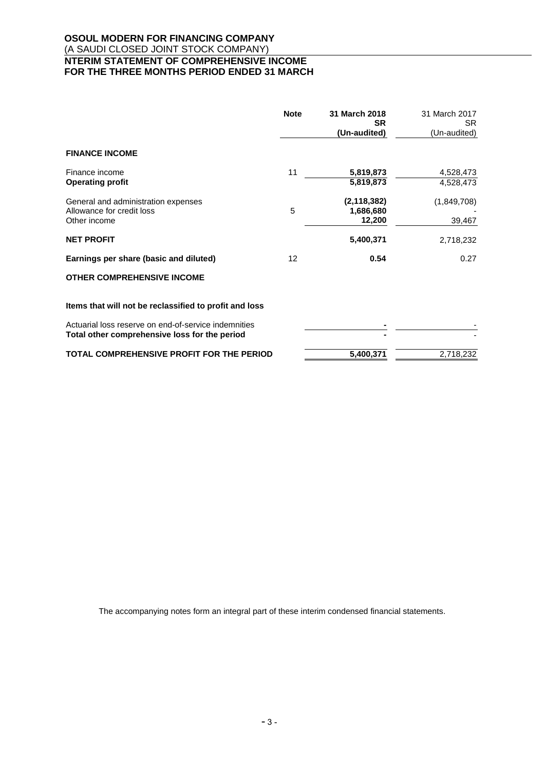# **OSOUL MODERN FOR FINANCING COMPANY** (A SAUDI CLOSED JOINT STOCK COMPANY) **INTERIM STATEMENT OF COMPREHENSIVE INCOME FOR THE THREE MONTHS PERIOD ENDED 31 MARCH**

|                                                                  | <b>Note</b> | 31 March 2018<br>SR<br>(Un-audited) | 31 March 2017<br>SR.<br>(Un-audited) |
|------------------------------------------------------------------|-------------|-------------------------------------|--------------------------------------|
| <b>FINANCE INCOME</b>                                            |             |                                     |                                      |
| Finance income                                                   | 11          | 5,819,873                           | 4,528,473                            |
| <b>Operating profit</b>                                          |             | 5,819,873                           | 4,528,473                            |
| General and administration expenses<br>Allowance for credit loss | 5           | (2, 118, 382)<br>1,686,680          | (1,849,708)                          |
| Other income                                                     |             | 12,200                              | 39,467                               |
| <b>NET PROFIT</b>                                                |             | 5,400,371                           | 2,718,232                            |
| Earnings per share (basic and diluted)                           | 12          | 0.54                                | 0.27                                 |
| <b>OTHER COMPREHENSIVE INCOME</b>                                |             |                                     |                                      |
| Items that will not be reclassified to profit and loss           |             |                                     |                                      |
| Actuarial loss reserve on end-of-service indemnities             |             |                                     |                                      |
| Total other comprehensive loss for the period                    |             |                                     |                                      |
| TOTAL COMPREHENSIVE PROFIT FOR THE PERIOD                        |             | 5,400,371                           | 2,718,232                            |

The accompanying notes form an integral part of these interim condensed financial statements.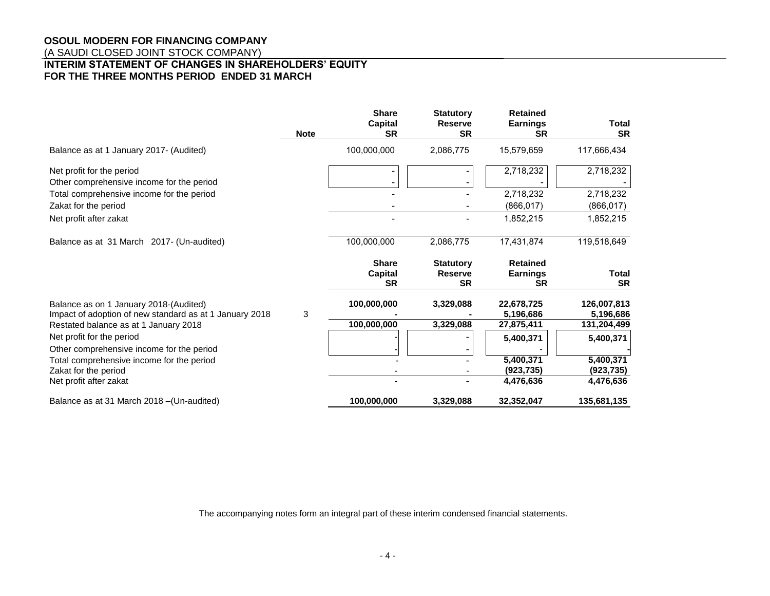# **OSOUL MODERN FOR FINANCING COMPANY**

(A SAUDI CLOSED JOINT STOCK COMPANY)

# **INTERIM STATEMENT OF CHANGES IN SHAREHOLDERS' EQUITY FOR THE THREE MONTHS PERIOD ENDED 31 MARCH**

|                                                                                                   | <b>Note</b> | <b>Share</b><br>Capital<br><b>SR</b>        | <b>Statutory</b><br><b>Reserve</b><br><b>SR</b> | <b>Retained</b><br><b>Earnings</b><br><b>SR</b> | <b>Total</b><br><b>SR</b> |
|---------------------------------------------------------------------------------------------------|-------------|---------------------------------------------|-------------------------------------------------|-------------------------------------------------|---------------------------|
| Balance as at 1 January 2017- (Audited)                                                           |             | 100,000,000                                 | 2,086,775                                       | 15,579,659                                      | 117,666,434               |
| Net profit for the period<br>Other comprehensive income for the period                            |             |                                             |                                                 | 2,718,232                                       | 2,718,232                 |
| Total comprehensive income for the period                                                         |             |                                             |                                                 | 2,718,232                                       | 2,718,232                 |
| Zakat for the period                                                                              |             |                                             |                                                 | (866, 017)                                      | (866, 017)                |
| Net profit after zakat                                                                            |             |                                             |                                                 | 1,852,215                                       | 1,852,215                 |
| Balance as at 31 March 2017- (Un-audited)                                                         |             | 100,000,000                                 | 2,086,775                                       | 17,431,874                                      | 119,518,649               |
|                                                                                                   |             | <b>Share</b><br><b>Capital</b><br><b>SR</b> | <b>Statutory</b><br><b>Reserve</b><br><b>SR</b> | <b>Retained</b><br><b>Earnings</b><br><b>SR</b> | <b>Total</b><br><b>SR</b> |
| Balance as on 1 January 2018-(Audited)<br>Impact of adoption of new standard as at 1 January 2018 | 3           | 100,000,000                                 | 3,329,088                                       | 22,678,725<br>5,196,686                         | 126,007,813<br>5,196,686  |
| Restated balance as at 1 January 2018                                                             |             | 100,000,000                                 | 3,329,088                                       | 27,875,411                                      | 131,204,499               |
| Net profit for the period<br>Other comprehensive income for the period                            |             |                                             |                                                 | 5,400,371                                       | 5,400,371                 |
| Total comprehensive income for the period                                                         |             |                                             |                                                 | 5,400,371                                       | 5,400,371                 |
| Zakat for the period                                                                              |             |                                             |                                                 | (923, 735)                                      | (923, 735)                |
| Net profit after zakat                                                                            |             |                                             |                                                 | 4,476,636                                       | 4,476,636                 |
| Balance as at 31 March 2018 - (Un-audited)                                                        |             | 100,000,000                                 | 3,329,088                                       | 32,352,047                                      | 135,681,135               |

The accompanying notes form an integral part of these interim condensed financial statements.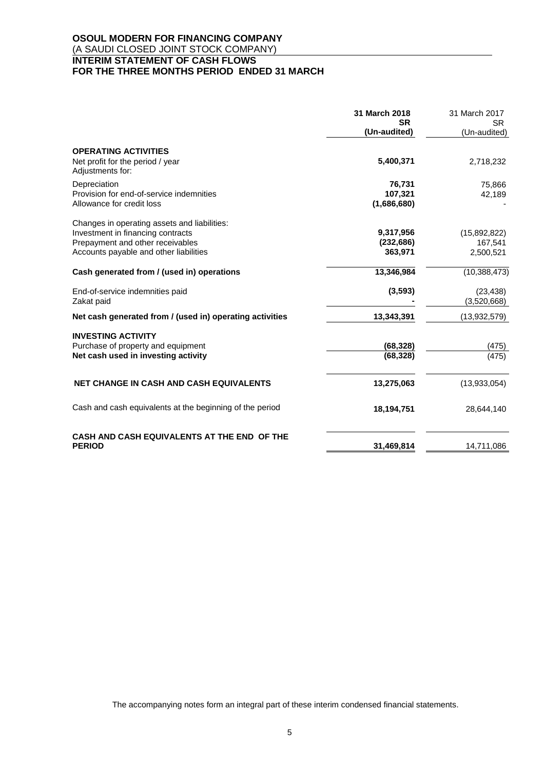# **OSOUL MODERN FOR FINANCING COMPANY** (A SAUDI CLOSED JOINT STOCK COMPANY) **INTERIM STATEMENT OF CASH FLOWS FOR THE THREE MONTHS PERIOD ENDED 31 MARCH**

|                                                                       | 31 March 2018             | 31 March 2017            |
|-----------------------------------------------------------------------|---------------------------|--------------------------|
|                                                                       | <b>SR</b><br>(Un-audited) | SR.<br>(Un-audited)      |
| <b>OPERATING ACTIVITIES</b>                                           |                           |                          |
| Net profit for the period / year<br>Adjustments for:                  | 5,400,371                 | 2,718,232                |
| Depreciation                                                          | 76,731                    | 75,866                   |
| Provision for end-of-service indemnities<br>Allowance for credit loss | 107,321<br>(1,686,680)    | 42,189                   |
| Changes in operating assets and liabilities:                          |                           |                          |
| Investment in financing contracts                                     | 9,317,956                 | (15,892,822)             |
| Prepayment and other receivables                                      | (232, 686)                | 167,541                  |
| Accounts payable and other liabilities                                | 363,971                   | 2,500,521                |
| Cash generated from / (used in) operations                            | 13,346,984                | (10, 388, 473)           |
| End-of-service indemnities paid<br>Zakat paid                         | (3, 593)                  | (23, 438)<br>(3,520,668) |
| Net cash generated from / (used in) operating activities              | 13,343,391                | (13,932,579)             |
| <b>INVESTING ACTIVITY</b>                                             |                           |                          |
| Purchase of property and equipment                                    | (68, 328)                 | (475)                    |
| Net cash used in investing activity                                   | (68, 328)                 | (475)                    |
| <b>NET CHANGE IN CASH AND CASH EQUIVALENTS</b>                        | 13,275,063                | (13,933,054)             |
| Cash and cash equivalents at the beginning of the period              | 18,194,751                | 28,644,140               |
| CASH AND CASH EQUIVALENTS AT THE END OF THE<br><b>PERIOD</b>          | 31,469,814                | 14,711,086               |
|                                                                       |                           |                          |

The accompanying notes form an integral part of these interim condensed financial statements.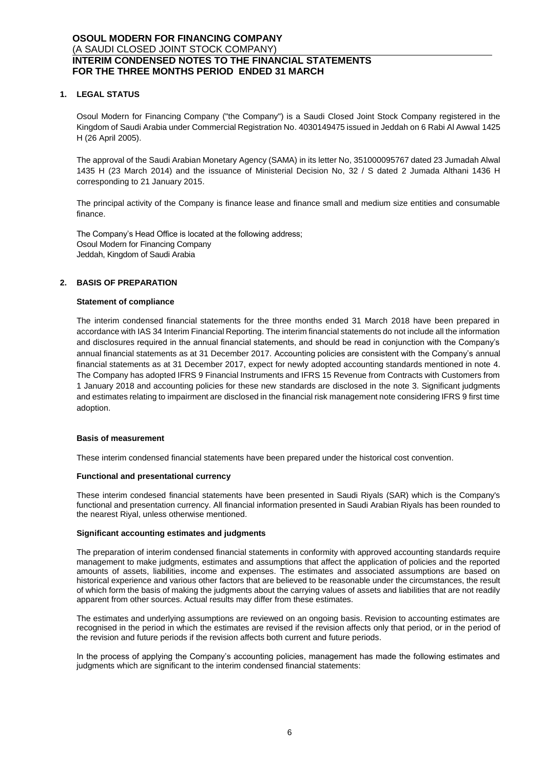# **1. LEGAL STATUS**

Osoul Modern for Financing Company ("the Company") is a Saudi Closed Joint Stock Company registered in the Kingdom of Saudi Arabia under Commercial Registration No. 4030149475 issued in Jeddah on 6 Rabi Al Awwal 1425 H (26 April 2005).

The approval of the Saudi Arabian Monetary Agency (SAMA) in its letter No, 351000095767 dated 23 Jumadah Alwal 1435 H (23 March 2014) and the issuance of Ministerial Decision No, 32 / S dated 2 Jumada Althani 1436 H corresponding to 21 January 2015.

The principal activity of the Company is finance lease and finance small and medium size entities and consumable finance.

The Company's Head Office is located at the following address; Osoul Modern for Financing Company Jeddah, Kingdom of Saudi Arabia

# **2. BASIS OF PREPARATION**

# **Statement of compliance**

The interim condensed financial statements for the three months ended 31 March 2018 have been prepared in accordance with IAS 34 Interim Financial Reporting. The interim financial statements do not include all the information and disclosures required in the annual financial statements, and should be read in conjunction with the Company's annual financial statements as at 31 December 2017. Accounting policies are consistent with the Company's annual financial statements as at 31 December 2017, expect for newly adopted accounting standards mentioned in note 4. The Company has adopted IFRS 9 Financial Instruments and IFRS 15 Revenue from Contracts with Customers from 1 January 2018 and accounting policies for these new standards are disclosed in the note 3. Significant judgments and estimates relating to impairment are disclosed in the financial risk management note considering IFRS 9 first time adoption.

#### **Basis of measurement**

These interim condensed financial statements have been prepared under the historical cost convention.

#### **Functional and presentational currency**

These interim condesed financial statements have been presented in Saudi Riyals (SAR) which is the Company's functional and presentation currency. All financial information presented in Saudi Arabian Riyals has been rounded to the nearest Riyal, unless otherwise mentioned.

#### **Significant accounting estimates and judgments**

The preparation of interim condensed financial statements in conformity with approved accounting standards require management to make judgments, estimates and assumptions that affect the application of policies and the reported amounts of assets, liabilities, income and expenses. The estimates and associated assumptions are based on historical experience and various other factors that are believed to be reasonable under the circumstances, the result of which form the basis of making the judgments about the carrying values of assets and liabilities that are not readily apparent from other sources. Actual results may differ from these estimates.

The estimates and underlying assumptions are reviewed on an ongoing basis. Revision to accounting estimates are recognised in the period in which the estimates are revised if the revision affects only that period, or in the period of the revision and future periods if the revision affects both current and future periods.

In the process of applying the Company's accounting policies, management has made the following estimates and judgments which are significant to the interim condensed financial statements: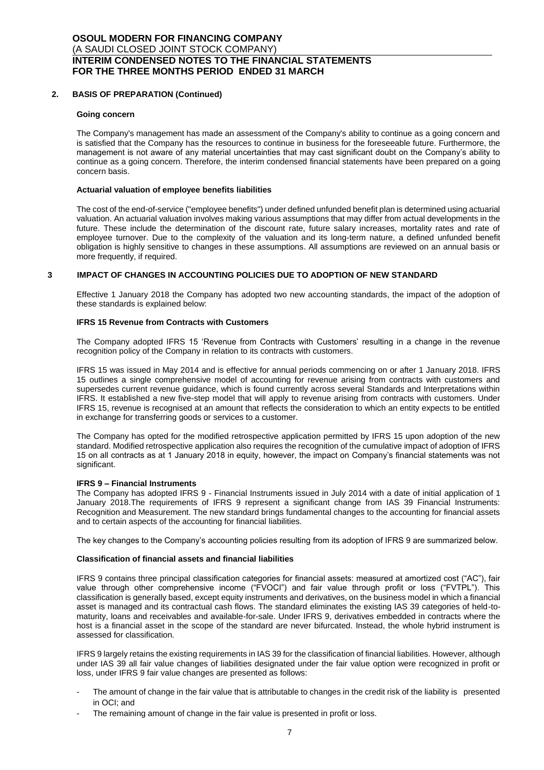### **2. BASIS OF PREPARATION (Continued)**

#### **Going concern**

The Company's management has made an assessment of the Company's ability to continue as a going concern and is satisfied that the Company has the resources to continue in business for the foreseeable future. Furthermore, the management is not aware of any material uncertainties that may cast significant doubt on the Company's ability to continue as a going concern. Therefore, the interim condensed financial statements have been prepared on a going concern basis.

#### **Actuarial valuation of employee benefits liabilities**

The cost of the end-of-service ("employee benefits") under defined unfunded benefit plan is determined using actuarial valuation. An actuarial valuation involves making various assumptions that may differ from actual developments in the future. These include the determination of the discount rate, future salary increases, mortality rates and rate of employee turnover. Due to the complexity of the valuation and its long-term nature, a defined unfunded benefit obligation is highly sensitive to changes in these assumptions. All assumptions are reviewed on an annual basis or more frequently, if required.

#### **3 IMPACT OF CHANGES IN ACCOUNTING POLICIES DUE TO ADOPTION OF NEW STANDARD**

Effective 1 January 2018 the Company has adopted two new accounting standards, the impact of the adoption of these standards is explained below:

#### **IFRS 15 Revenue from Contracts with Customers**

The Company adopted IFRS 15 'Revenue from Contracts with Customers' resulting in a change in the revenue recognition policy of the Company in relation to its contracts with customers.

IFRS 15 was issued in May 2014 and is effective for annual periods commencing on or after 1 January 2018. IFRS 15 outlines a single comprehensive model of accounting for revenue arising from contracts with customers and supersedes current revenue guidance, which is found currently across several Standards and Interpretations within IFRS. It established a new five-step model that will apply to revenue arising from contracts with customers. Under IFRS 15, revenue is recognised at an amount that reflects the consideration to which an entity expects to be entitled in exchange for transferring goods or services to a customer.

The Company has opted for the modified retrospective application permitted by IFRS 15 upon adoption of the new standard. Modified retrospective application also requires the recognition of the cumulative impact of adoption of IFRS 15 on all contracts as at 1 January 2018 in equity, however, the impact on Company's financial statements was not significant.

#### **IFRS 9 – Financial Instruments**

The Company has adopted IFRS 9 - Financial Instruments issued in July 2014 with a date of initial application of 1 January 2018.The requirements of IFRS 9 represent a significant change from IAS 39 Financial Instruments: Recognition and Measurement. The new standard brings fundamental changes to the accounting for financial assets and to certain aspects of the accounting for financial liabilities.

The key changes to the Company's accounting policies resulting from its adoption of IFRS 9 are summarized below.

#### **Classification of financial assets and financial liabilities**

IFRS 9 contains three principal classification categories for financial assets: measured at amortized cost ("AC"), fair value through other comprehensive income ("FVOCI") and fair value through profit or loss ("FVTPL"). This classification is generally based, except equity instruments and derivatives, on the business model in which a financial asset is managed and its contractual cash flows. The standard eliminates the existing IAS 39 categories of held-tomaturity, loans and receivables and available-for-sale. Under IFRS 9, derivatives embedded in contracts where the host is a financial asset in the scope of the standard are never bifurcated. Instead, the whole hybrid instrument is assessed for classification.

IFRS 9 largely retains the existing requirements in IAS 39 for the classification of financial liabilities. However, although under IAS 39 all fair value changes of liabilities designated under the fair value option were recognized in profit or loss, under IFRS 9 fair value changes are presented as follows:

- The amount of change in the fair value that is attributable to changes in the credit risk of the liability is presented in OCI; and
- The remaining amount of change in the fair value is presented in profit or loss.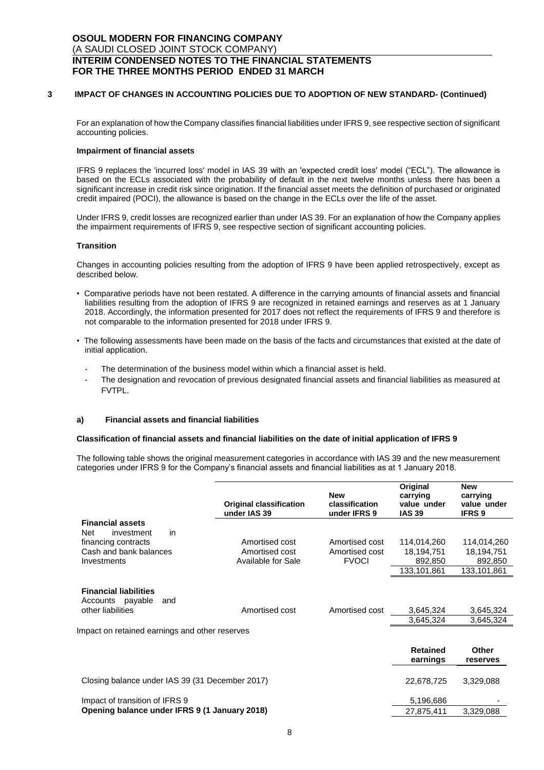### **3 IMPACT OF CHANGES IN ACCOUNTING POLICIES DUE TO ADOPTION OF NEW STANDARD- (Continued)**

For an explanation of how the Company classifies financial liabilities under IFRS 9, see respective section of significant accounting policies.

#### **Impairment of financial assets**

IFRS 9 replaces the 'incurred loss' model in IAS 39 with an 'expected credit loss' model ("ECL"). The allowance is based on the ECLs associated with the probability of default in the next twelve months unless there has been a significant increase in credit risk since origination. If the financial asset meets the definition of purchased or originated credit impaired (POCI), the allowance is based on the change in the ECLs over the life of the asset.

Under IFRS 9, credit losses are recognized earlier than under IAS 39. For an explanation of how the Company applies the impairment requirements of IFRS 9, see respective section of significant accounting policies.

#### **Transition**

Changes in accounting policies resulting from the adoption of IFRS 9 have been applied retrospectively, except as described below.

- Comparative periods have not been restated. A difference in the carrying amounts of financial assets and financial liabilities resulting from the adoption of IFRS 9 are recognized in retained earnings and reserves as at 1 January 2018. Accordingly, the information presented for 2017 does not reflect the requirements of IFRS 9 and therefore is not comparable to the information presented for 2018 under IFRS 9.
- The following assessments have been made on the basis of the facts and circumstances that existed at the date of initial application.
	- The determination of the business model within which a financial asset is held.
	- The designation and revocation of previous designated financial assets and financial liabilities as measured at FVTPL.

### **a) Financial assets and financial liabilities**

#### **Classification of financial assets and financial liabilities on the date of initial application of IFRS 9**

The following table shows the original measurement categories in accordance with IAS 39 and the new measurement categories under IFRS 9 for the Company's financial assets and financial liabilities as at 1 January 2018.

|                                                                              | <b>Original classification</b><br>under IAS 39 | <b>New</b><br>classification<br>under IFRS 9 | Original<br>carrying<br>value under<br><b>IAS 39</b> | <b>New</b><br>carrying<br>value under<br><b>IFRS 9</b> |
|------------------------------------------------------------------------------|------------------------------------------------|----------------------------------------------|------------------------------------------------------|--------------------------------------------------------|
| <b>Financial assets</b>                                                      |                                                |                                              |                                                      |                                                        |
| in<br>Net<br>investment                                                      |                                                |                                              |                                                      |                                                        |
| financing contracts                                                          | Amortised cost                                 | Amortised cost                               | 114,014,260                                          | 114,014,260                                            |
| Cash and bank balances                                                       | Amortised cost                                 | Amortised cost                               | 18,194,751                                           | 18,194,751                                             |
| Investments                                                                  | <b>Available for Sale</b>                      | <b>FVOCI</b>                                 | 892,850                                              | 892,850                                                |
|                                                                              |                                                |                                              | 133,101,861                                          | 133,101,861                                            |
| <b>Financial liabilities</b><br>Accounts payable<br>and<br>other liabilities | Amortised cost                                 | Amortised cost                               | 3,645,324<br>3,645,324                               | 3,645,324<br>3,645,324                                 |
| Impact on retained earnings and other reserves                               |                                                |                                              |                                                      |                                                        |
|                                                                              |                                                |                                              | <b>Retained</b><br>earnings                          | <b>Other</b><br>reserves                               |
| Closing balance under IAS 39 (31 December 2017)                              |                                                |                                              | 22,678,725                                           | 3,329,088                                              |
| Impact of transition of IFRS 9                                               |                                                |                                              | 5,196,686                                            |                                                        |
| Opening balance under IFRS 9 (1 January 2018)                                |                                                |                                              | 27,875,411                                           | 3,329,088                                              |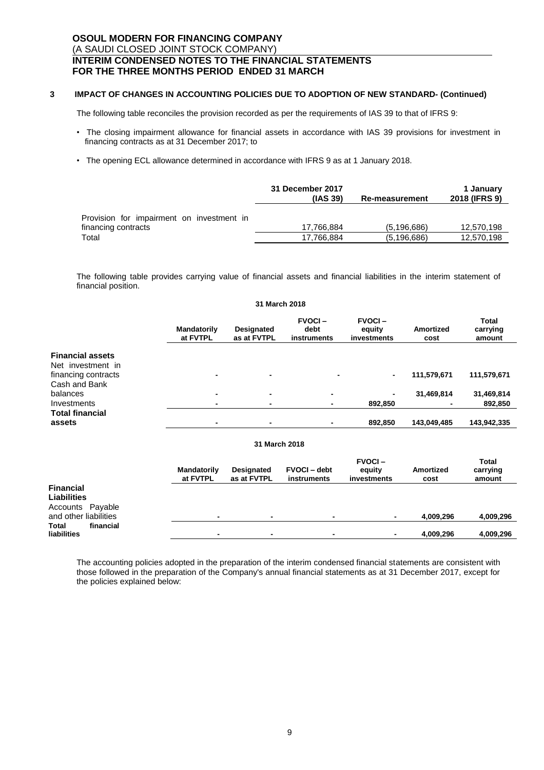### **3 IMPACT OF CHANGES IN ACCOUNTING POLICIES DUE TO ADOPTION OF NEW STANDARD- (Continued)**

The following table reconciles the provision recorded as per the requirements of IAS 39 to that of IFRS 9:

- The closing impairment allowance for financial assets in accordance with IAS 39 provisions for investment in financing contracts as at 31 December 2017; to
- The opening ECL allowance determined in accordance with IFRS 9 as at 1 January 2018.

|                                           | 31 December 2017<br>(IAS 39) | <b>Re-measurement</b> | 1 January<br>2018 (IFRS 9) |
|-------------------------------------------|------------------------------|-----------------------|----------------------------|
| Provision for impairment on investment in |                              |                       |                            |
| financing contracts                       | 17.766.884                   | (5.196.686)           | 12,570,198                 |
| Total                                     | 17,766,884                   | (5.196.686)           | 12,570,198                 |

The following table provides carrying value of financial assets and financial liabilities in the interim statement of financial position.

|                                                                     |                                |                                  | 31 March 2018                        |                                        |                              |                             |
|---------------------------------------------------------------------|--------------------------------|----------------------------------|--------------------------------------|----------------------------------------|------------------------------|-----------------------------|
|                                                                     | <b>Mandatorily</b><br>at FVTPL | <b>Designated</b><br>as at FVTPL | <b>FVOCI-</b><br>debt<br>instruments | <b>FVOCI-</b><br>equity<br>investments | Amortized<br>cost            | Total<br>carrying<br>amount |
| <b>Financial assets</b><br>Net investment in<br>financing contracts | $\overline{\phantom{0}}$       | $\blacksquare$                   |                                      |                                        | 111,579,671                  | 111,579,671                 |
| Cash and Bank<br>balances<br>Investments<br><b>Total financial</b>  | ٠<br>٠                         | ٠<br>$\blacksquare$              | $\blacksquare$<br>$\blacksquare$     | 892,850                                | 31,469,814<br>$\blacksquare$ | 31,469,814<br>892,850       |
| assets                                                              | $\overline{\phantom{0}}$       | $\overline{\phantom{0}}$         | $\blacksquare$                       | 892,850                                | 143,049,485                  | 143,942,335                 |
|                                                                     |                                |                                  | 31 March 2018                        |                                        |                              |                             |
|                                                                     | <b>Mandatorily</b><br>at FVTPL | <b>Designated</b><br>as at FVTPL | <b>FVOCI</b> – debt<br>instruments   | <b>FVOCI-</b><br>equity<br>investments | <b>Amortized</b><br>cost     | Total<br>carrying<br>amount |

| <b>Financial</b>          |                          |   |   |           |           |
|---------------------------|--------------------------|---|---|-----------|-----------|
| <b>Liabilities</b>        |                          |   |   |           |           |
| Accounts Payable          |                          |   |   |           |           |
| and other liabilities     | $\overline{\phantom{0}}$ | ٠ | ۰ | 4,009,296 | 4,009,296 |
| <b>Total</b><br>financial |                          |   |   |           |           |
| liabilities               | $\overline{\phantom{a}}$ |   | - | 4.009.296 | 4,009,296 |

The accounting policies adopted in the preparation of the interim condensed financial statements are consistent with those followed in the preparation of the Company's annual financial statements as at 31 December 2017, except for the policies explained below: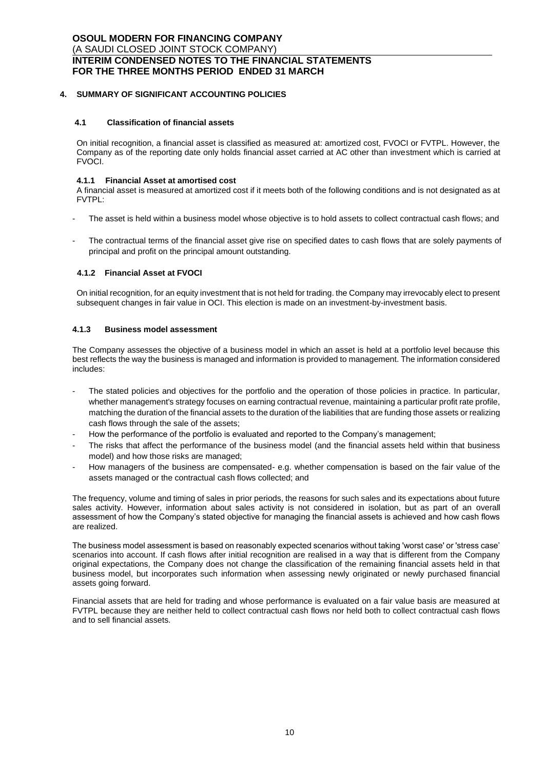# **4. SUMMARY OF SIGNIFICANT ACCOUNTING POLICIES**

#### **4.1 Classification of financial assets**

On initial recognition, a financial asset is classified as measured at: amortized cost, FVOCI or FVTPL. However, the Company as of the reporting date only holds financial asset carried at AC other than investment which is carried at FVOCI.

#### **4.1.1 Financial Asset at amortised cost**

A financial asset is measured at amortized cost if it meets both of the following conditions and is not designated as at FVTPL:

- The asset is held within a business model whose objective is to hold assets to collect contractual cash flows; and
- The contractual terms of the financial asset give rise on specified dates to cash flows that are solely payments of principal and profit on the principal amount outstanding.

### **4.1.2 Financial Asset at FVOCI**

On initial recognition, for an equity investment that is not held for trading. the Company may irrevocably elect to present subsequent changes in fair value in OCI. This election is made on an investment-by-investment basis.

# **4.1.3 Business model assessment**

The Company assesses the objective of a business model in which an asset is held at a portfolio level because this best reflects the way the business is managed and information is provided to management. The information considered includes:

- The stated policies and objectives for the portfolio and the operation of those policies in practice. In particular, whether management's strategy focuses on earning contractual revenue, maintaining a particular profit rate profile, matching the duration of the financial assets to the duration of the liabilities that are funding those assets or realizing cash flows through the sale of the assets;
- How the performance of the portfolio is evaluated and reported to the Company's management;
- The risks that affect the performance of the business model (and the financial assets held within that business model) and how those risks are managed;
- How managers of the business are compensated-e.g. whether compensation is based on the fair value of the assets managed or the contractual cash flows collected; and

The frequency, volume and timing of sales in prior periods, the reasons for such sales and its expectations about future sales activity. However, information about sales activity is not considered in isolation, but as part of an overall assessment of how the Company's stated objective for managing the financial assets is achieved and how cash flows are realized.

The business model assessment is based on reasonably expected scenarios without taking 'worst case' or 'stress case' scenarios into account. If cash flows after initial recognition are realised in a way that is different from the Company original expectations, the Company does not change the classification of the remaining financial assets held in that business model, but incorporates such information when assessing newly originated or newly purchased financial assets going forward.

Financial assets that are held for trading and whose performance is evaluated on a fair value basis are measured at FVTPL because they are neither held to collect contractual cash flows nor held both to collect contractual cash flows and to sell financial assets.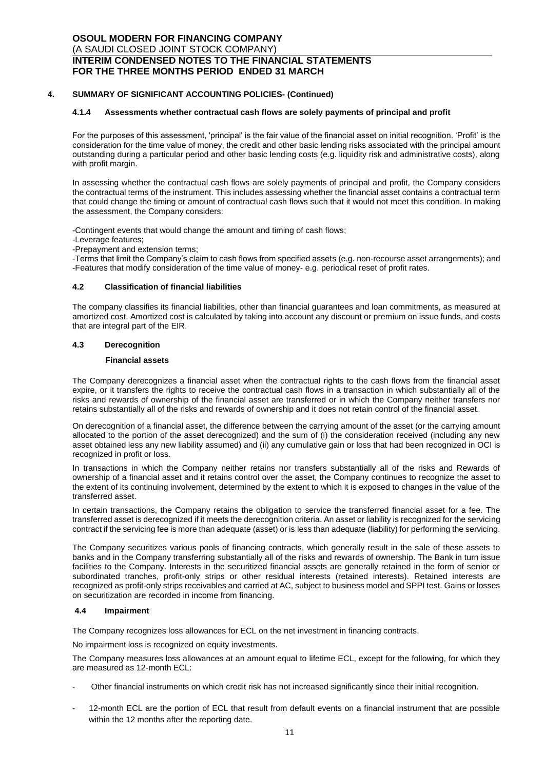### **4. SUMMARY OF SIGNIFICANT ACCOUNTING POLICIES- (Continued)**

#### **4.1.4 Assessments whether contractual cash flows are solely payments of principal and profit**

For the purposes of this assessment, 'principal' is the fair value of the financial asset on initial recognition. 'Profit' is the consideration for the time value of money, the credit and other basic lending risks associated with the principal amount outstanding during a particular period and other basic lending costs (e.g. liquidity risk and administrative costs), along with profit margin.

In assessing whether the contractual cash flows are solely payments of principal and profit, the Company considers the contractual terms of the instrument. This includes assessing whether the financial asset contains a contractual term that could change the timing or amount of contractual cash flows such that it would not meet this condition. In making the assessment, the Company considers:

-Contingent events that would change the amount and timing of cash flows;

- -Leverage features;
- -Prepayment and extension terms;

-Terms that limit the Company's claim to cash flows from specified assets (e.g. non-recourse asset arrangements); and -Features that modify consideration of the time value of money- e.g. periodical reset of profit rates.

#### **4.2 Classification of financial liabilities**

The company classifies its financial liabilities, other than financial guarantees and loan commitments, as measured at amortized cost. Amortized cost is calculated by taking into account any discount or premium on issue funds, and costs that are integral part of the EIR.

### **4.3 Derecognition**

#### **Financial assets**

The Company derecognizes a financial asset when the contractual rights to the cash flows from the financial asset expire, or it transfers the rights to receive the contractual cash flows in a transaction in which substantially all of the risks and rewards of ownership of the financial asset are transferred or in which the Company neither transfers nor retains substantially all of the risks and rewards of ownership and it does not retain control of the financial asset.

On derecognition of a financial asset, the difference between the carrying amount of the asset (or the carrying amount allocated to the portion of the asset derecognized) and the sum of (i) the consideration received (including any new asset obtained less any new liability assumed) and (ii) any cumulative gain or loss that had been recognized in OCI is recognized in profit or loss.

In transactions in which the Company neither retains nor transfers substantially all of the risks and Rewards of ownership of a financial asset and it retains control over the asset, the Company continues to recognize the asset to the extent of its continuing involvement, determined by the extent to which it is exposed to changes in the value of the transferred asset.

In certain transactions, the Company retains the obligation to service the transferred financial asset for a fee. The transferred asset is derecognized if it meets the derecognition criteria. An asset or liability is recognized for the servicing contract if the servicing fee is more than adequate (asset) or is less than adequate (liability) for performing the servicing.

The Company securitizes various pools of financing contracts, which generally result in the sale of these assets to banks and in the Company transferring substantially all of the risks and rewards of ownership. The Bank in turn issue facilities to the Company. Interests in the securitized financial assets are generally retained in the form of senior or subordinated tranches, profit-only strips or other residual interests (retained interests). Retained interests are recognized as profit-only strips receivables and carried at AC, subject to business model and SPPI test. Gains or losses on securitization are recorded in income from financing.

#### **4.4 Impairment**

The Company recognizes loss allowances for ECL on the net investment in financing contracts.

No impairment loss is recognized on equity investments.

The Company measures loss allowances at an amount equal to lifetime ECL, except for the following, for which they are measured as 12-month ECL:

- Other financial instruments on which credit risk has not increased significantly since their initial recognition.
- 12-month ECL are the portion of ECL that result from default events on a financial instrument that are possible within the 12 months after the reporting date.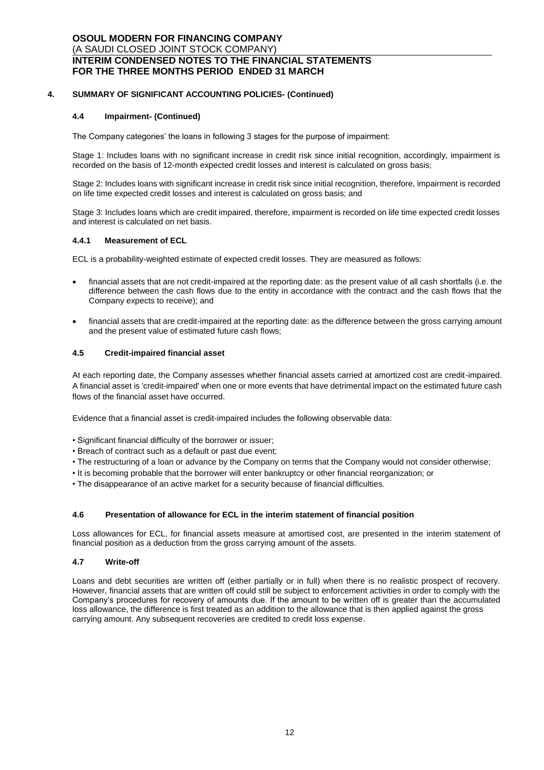# **4. SUMMARY OF SIGNIFICANT ACCOUNTING POLICIES- (Continued)**

### **4.4 Impairment- (Continued)**

The Company categories' the loans in following 3 stages for the purpose of impairment:

Stage 1: Includes loans with no significant increase in credit risk since initial recognition, accordingly, impairment is recorded on the basis of 12-month expected credit losses and interest is calculated on gross basis;

Stage 2: Includes loans with significant increase in credit risk since initial recognition, therefore, impairment is recorded on life time expected credit losses and interest is calculated on gross basis; and

Stage 3: Includes loans which are credit impaired, therefore, impairment is recorded on life time expected credit losses and interest is calculated on net basis.

### **4.4.1 Measurement of ECL**

ECL is a probability-weighted estimate of expected credit losses. They are measured as follows:

- financial assets that are not credit-impaired at the reporting date: as the present value of all cash shortfalls (i.e. the difference between the cash flows due to the entity in accordance with the contract and the cash flows that the Company expects to receive); and
- financial assets that are credit-impaired at the reporting date: as the difference between the gross carrying amount and the present value of estimated future cash flows;

### **4.5 Credit-impaired financial asset**

At each reporting date, the Company assesses whether financial assets carried at amortized cost are credit-impaired. A financial asset is 'credit-impaired' when one or more events that have detrimental impact on the estimated future cash flows of the financial asset have occurred.

Evidence that a financial asset is credit-impaired includes the following observable data:

- Significant financial difficulty of the borrower or issuer;
- Breach of contract such as a default or past due event;
- The restructuring of a loan or advance by the Company on terms that the Company would not consider otherwise;
- It is becoming probable that the borrower will enter bankruptcy or other financial reorganization; or
- The disappearance of an active market for a security because of financial difficulties.

#### **4.6 Presentation of allowance for ECL in the interim statement of financial position**

Loss allowances for ECL, for financial assets measure at amortised cost, are presented in the interim statement of financial position as a deduction from the gross carrying amount of the assets.

#### **4.7 Write-off**

Loans and debt securities are written off (either partially or in full) when there is no realistic prospect of recovery. However, financial assets that are written off could still be subject to enforcement activities in order to comply with the Company's procedures for recovery of amounts due. If the amount to be written off is greater than the accumulated loss allowance, the difference is first treated as an addition to the allowance that is then applied against the gross carrying amount. Any subsequent recoveries are credited to credit loss expense.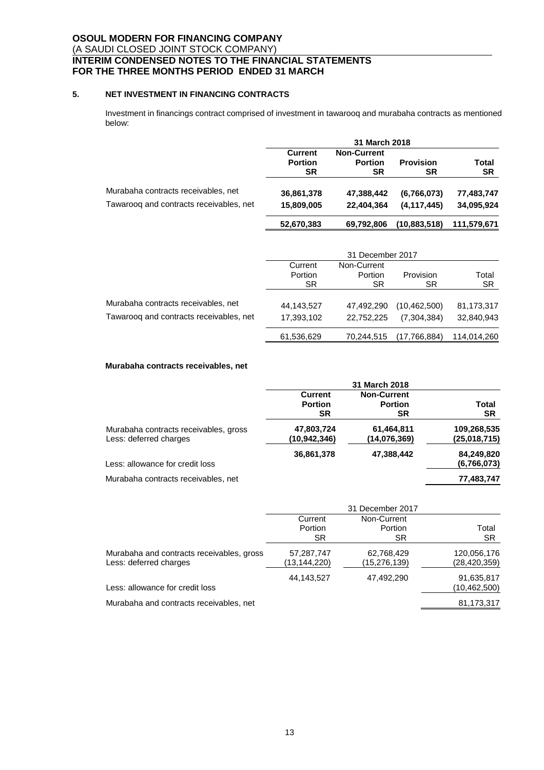# **5. NET INVESTMENT IN FINANCING CONTRACTS**

Investment in financings contract comprised of investment in tawarooq and murabaha contracts as mentioned below:

|                                         | 31 March 2018                          |                                            |                        |                    |
|-----------------------------------------|----------------------------------------|--------------------------------------------|------------------------|--------------------|
|                                         | <b>Current</b><br><b>Portion</b><br>SR | <b>Non-Current</b><br><b>Portion</b><br>SR | <b>Provision</b><br>SR | Total<br><b>SR</b> |
| Murabaha contracts receivables, net     | 36,861,378                             | 47.388.442                                 | (6,766,073)            | 77,483,747         |
| Tawaroog and contracts receivables, net | 15,809,005                             | 22.404.364                                 | (4, 117, 445)          | 34,095,924         |
|                                         | 52,670,383                             | 69.792.806                                 | (10,883,518)           | 111,579,671        |

|                                         |            | 31 December 2017 |                |             |
|-----------------------------------------|------------|------------------|----------------|-------------|
|                                         | Current    | Non-Current      |                |             |
|                                         | Portion    | Portion          | Provision      | Total       |
|                                         | <b>SR</b>  | SR               | SR             | <b>SR</b>   |
| Murabaha contracts receivables, net     | 44,143,527 | 47.492.290       | (10, 462, 500) | 81,173,317  |
| Tawaroog and contracts receivables, net | 17,393,102 | 22.752.225       | (7.304.384)    | 32,840,943  |
|                                         | 61,536,629 | 70.244.515       | (17,766,884)   | 114,014,260 |

# **Murabaha contracts receivables, net**

|                                       |                | 31 March 2018      |              |
|---------------------------------------|----------------|--------------------|--------------|
|                                       | <b>Current</b> | <b>Non-Current</b> |              |
|                                       | <b>Portion</b> | <b>Portion</b>     | Total        |
|                                       | <b>SR</b>      | <b>SR</b>          | <b>SR</b>    |
| Murabaha contracts receivables, gross | 47,803,724     | 61,464,811         | 109,268,535  |
| Less: deferred charges                | (10, 942, 346) | (14,076,369)       | (25,018,715) |
|                                       | 36,861,378     | 47,388,442         | 84,249,820   |
| Less: allowance for credit loss       |                |                    | (6,766,073)  |
| Murabaha contracts receivables, net   |                |                    | 77,483,747   |

|                                           |              | 31 December 2017 |                |
|-------------------------------------------|--------------|------------------|----------------|
|                                           | Current      | Non-Current      |                |
|                                           | Portion      | Portion          | Total          |
|                                           | SR.          | SR.              | SR             |
| Murabaha and contracts receivables, gross | 57,287,747   | 62,768,429       | 120,056,176    |
| Less: deferred charges                    | (13,144,220) | (15,276,139)     | (28, 420, 359) |
|                                           | 44,143,527   | 47,492,290       | 91,635,817     |
| Less: allowance for credit loss           |              |                  | (10, 462, 500) |
| Murabaha and contracts receivables, net   |              |                  | 81,173,317     |
|                                           |              |                  |                |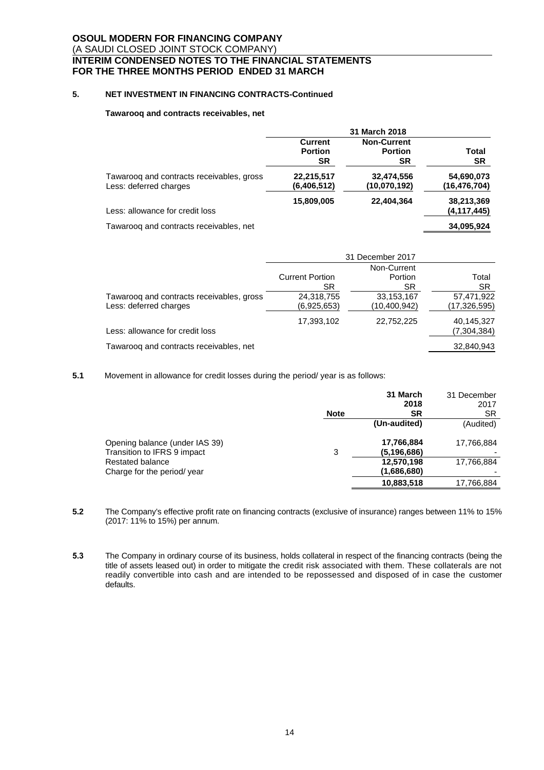# **5. NET INVESTMENT IN FINANCING CONTRACTS-Continued**

#### **Tawarooq and contracts receivables, net**

|                                                                     | 31 March 2018                                 |                                                   |                             |
|---------------------------------------------------------------------|-----------------------------------------------|---------------------------------------------------|-----------------------------|
|                                                                     | <b>Current</b><br><b>Portion</b><br><b>SR</b> | <b>Non-Current</b><br><b>Portion</b><br><b>SR</b> | Total<br><b>SR</b>          |
| Tawarooq and contracts receivables, gross<br>Less: deferred charges | 22,215,517<br>(6,406,512)                     | 32,474,556<br>(10,070,192)                        | 54,690,073<br>(16,476,704)  |
| Less: allowance for credit loss                                     | 15,809,005                                    | 22,404,364                                        | 38,213,369<br>(4, 117, 445) |
| Tawaroog and contracts receivables, net                             |                                               |                                                   | 34,095,924                  |

| 31 December 2017       |              |                |
|------------------------|--------------|----------------|
| Non-Current            |              |                |
| <b>Current Portion</b> | Portion      | Total          |
| SR.                    | SR.          | <b>SR</b>      |
| 24,318,755             | 33,153,167   | 57,471,922     |
| (6,925,653)            | (10,400,942) | (17, 326, 595) |
| 17,393,102             | 22,752,225   | 40,145,327     |
|                        |              | (7, 304, 384)  |
|                        |              | 32,840,943     |
|                        |              |                |

**5.1** Movement in allowance for credit losses during the period/ year is as follows:

|                                |             | 31 March     | 31 December |
|--------------------------------|-------------|--------------|-------------|
|                                |             | 2018         | 2017        |
|                                | <b>Note</b> | <b>SR</b>    | SR          |
|                                |             | (Un-audited) | (Audited)   |
| Opening balance (under IAS 39) |             | 17,766,884   | 17,766,884  |
| Transition to IFRS 9 impact    | 3           | (5.196.686)  |             |
| Restated balance               |             | 12,570,198   | 17,766,884  |
| Charge for the period/ year    |             | (1,686,680)  |             |
|                                |             | 10,883,518   | 17,766,884  |

- **5.2** The Company's effective profit rate on financing contracts (exclusive of insurance) ranges between 11% to 15% (2017: 11% to 15%) per annum.
- **5.3** The Company in ordinary course of its business, holds collateral in respect of the financing contracts (being the title of assets leased out) in order to mitigate the credit risk associated with them. These collaterals are not readily convertible into cash and are intended to be repossessed and disposed of in case the customer defaults.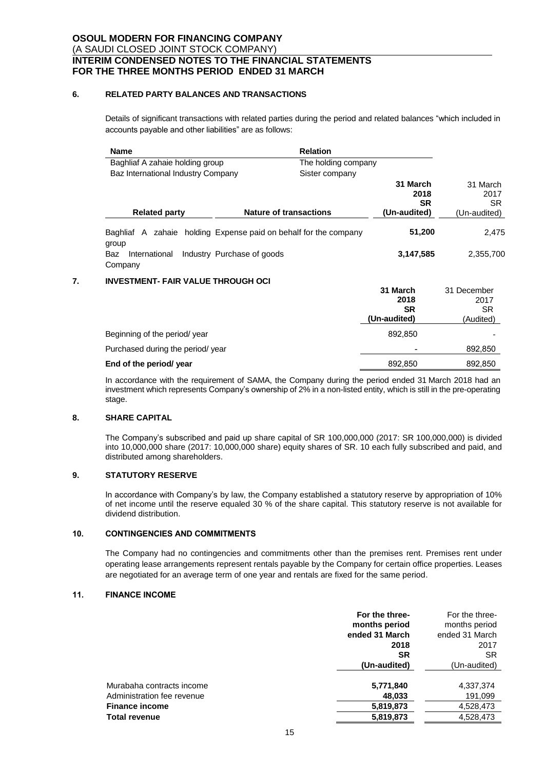### **6. RELATED PARTY BALANCES AND TRANSACTIONS**

Details of significant transactions with related parties during the period and related balances "which included in accounts payable and other liabilities" are as follows:

|    | <b>Name</b>                               | <b>Relation</b>                                       |                                               |                                               |
|----|-------------------------------------------|-------------------------------------------------------|-----------------------------------------------|-----------------------------------------------|
|    | Baghliaf A zahaie holding group           | The holding company                                   |                                               |                                               |
|    | Baz International Industry Company        | Sister company                                        |                                               |                                               |
|    |                                           |                                                       | 31 March<br>2018<br><b>SR</b>                 | 31 March<br>2017<br>SR.                       |
|    | <b>Related party</b>                      | <b>Nature of transactions</b>                         | (Un-audited)                                  | (Un-audited)                                  |
|    | Baghliaf A<br>group                       | zahaie holding Expense paid on behalf for the company | 51,200                                        | 2,475                                         |
|    | International<br>Baz<br>Company           | Industry Purchase of goods                            | 3,147,585                                     | 2,355,700                                     |
| 7. | <b>INVESTMENT- FAIR VALUE THROUGH OCI</b> |                                                       |                                               |                                               |
|    |                                           |                                                       | 31 March<br>2018<br><b>SR</b><br>(Un-audited) | 31 December<br>2017<br><b>SR</b><br>(Audited) |
|    | Beginning of the period/year              |                                                       | 892.850                                       |                                               |

# Purchased during the period/ year  $\overline{120}$  because the period of the period of the period of the period of the period of the period of the period of the period of the period of the period of the period of the period of t **End of the period/ year**  $892,850$  ,  $892,850$  ,  $892,850$ In accordance with the requirement of SAMA, the Company during the period ended 31 March 2018 had an

investment which represents Company's ownership of 2% in a non-listed entity, which is still in the pre-operating stage.

# **8. SHARE CAPITAL**

The Company's subscribed and paid up share capital of SR 100,000,000 (2017: SR 100,000,000) is divided into 10,000,000 share (2017: 10,000,000 share) equity shares of SR. 10 each fully subscribed and paid, and distributed among shareholders.

# **9. STATUTORY RESERVE**

In accordance with Company's by law, the Company established a statutory reserve by appropriation of 10% of net income until the reserve equaled 30 % of the share capital. This statutory reserve is not available for dividend distribution.

# **10. CONTINGENCIES AND COMMITMENTS**

The Company had no contingencies and commitments other than the premises rent. Premises rent under operating lease arrangements represent rentals payable by the Company for certain office properties. Leases are negotiated for an average term of one year and rentals are fixed for the same period.

### **11. FINANCE INCOME**

|                            | For the three- | For the three- |
|----------------------------|----------------|----------------|
|                            | months period  | months period  |
|                            | ended 31 March | ended 31 March |
|                            | 2018           | 2017           |
|                            | SR             | SR             |
|                            | (Un-audited)   | (Un-audited)   |
| Murabaha contracts income  | 5,771,840      | 4,337,374      |
| Administration fee revenue | 48,033         | 191,099        |
| <b>Finance income</b>      | 5,819,873      | 4,528,473      |
| Total revenue              | 5,819,873      | 4,528,473      |
|                            |                |                |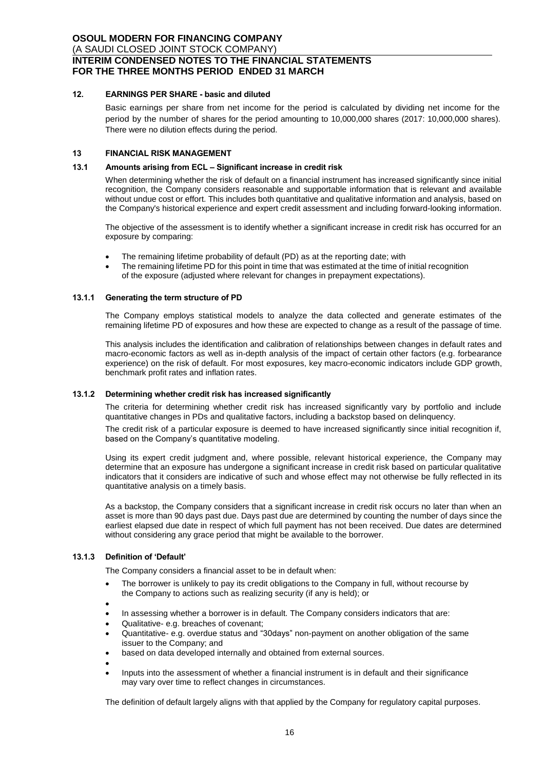# **12. EARNINGS PER SHARE - basic and diluted**

Basic earnings per share from net income for the period is calculated by dividing net income for the period by the number of shares for the period amounting to 10,000,000 shares (2017: 10,000,000 shares). There were no dilution effects during the period.

### **13 FINANCIAL RISK MANAGEMENT**

### **13.1 Amounts arising from ECL – Significant increase in credit risk**

When determining whether the risk of default on a financial instrument has increased significantly since initial recognition, the Company considers reasonable and supportable information that is relevant and available without undue cost or effort. This includes both quantitative and qualitative information and analysis, based on the Company's historical experience and expert credit assessment and including forward-looking information.

The objective of the assessment is to identify whether a significant increase in credit risk has occurred for an exposure by comparing:

- The remaining lifetime probability of default (PD) as at the reporting date; with
- The remaining lifetime PD for this point in time that was estimated at the time of initial recognition of the exposure (adjusted where relevant for changes in prepayment expectations).

### **13.1.1 Generating the term structure of PD**

The Company employs statistical models to analyze the data collected and generate estimates of the remaining lifetime PD of exposures and how these are expected to change as a result of the passage of time.

This analysis includes the identification and calibration of relationships between changes in default rates and macro-economic factors as well as in-depth analysis of the impact of certain other factors (e.g. forbearance experience) on the risk of default. For most exposures, key macro-economic indicators include GDP growth, benchmark profit rates and inflation rates.

### **13.1.2 Determining whether credit risk has increased significantly**

The criteria for determining whether credit risk has increased significantly vary by portfolio and include quantitative changes in PDs and qualitative factors, including a backstop based on delinquency.

The credit risk of a particular exposure is deemed to have increased significantly since initial recognition if, based on the Company's quantitative modeling.

Using its expert credit judgment and, where possible, relevant historical experience, the Company may determine that an exposure has undergone a significant increase in credit risk based on particular qualitative indicators that it considers are indicative of such and whose effect may not otherwise be fully reflected in its quantitative analysis on a timely basis.

As a backstop, the Company considers that a significant increase in credit risk occurs no later than when an asset is more than 90 days past due. Days past due are determined by counting the number of days since the earliest elapsed due date in respect of which full payment has not been received. Due dates are determined without considering any grace period that might be available to the borrower.

# **13.1.3 Definition of 'Default'**

The Company considers a financial asset to be in default when:

- The borrower is unlikely to pay its credit obligations to the Company in full, without recourse by the Company to actions such as realizing security (if any is held); or
- $\bullet$
- In assessing whether a borrower is in default. The Company considers indicators that are:
- Qualitative- e.g. breaches of covenant;
- Quantitative- e.g. overdue status and "30days" non-payment on another obligation of the same issuer to the Company; and
- based on data developed internally and obtained from external sources.

 $\bullet$ 

• Inputs into the assessment of whether a financial instrument is in default and their significance may vary over time to reflect changes in circumstances.

The definition of default largely aligns with that applied by the Company for regulatory capital purposes.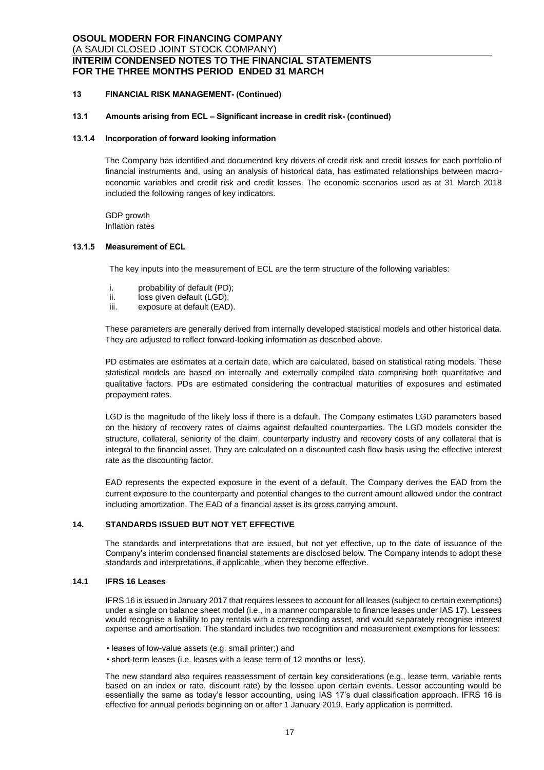### **13 FINANCIAL RISK MANAGEMENT- (Continued)**

# **13.1 Amounts arising from ECL – Significant increase in credit risk- (continued)**

#### **13.1.4 Incorporation of forward looking information**

The Company has identified and documented key drivers of credit risk and credit losses for each portfolio of financial instruments and, using an analysis of historical data, has estimated relationships between macroeconomic variables and credit risk and credit losses. The economic scenarios used as at 31 March 2018 included the following ranges of key indicators.

GDP growth Inflation rates

#### **13.1.5 Measurement of ECL**

The key inputs into the measurement of ECL are the term structure of the following variables:

- i. probability of default (PD);<br>ii. loss given default (LGD):
- loss given default (LGD);
- iii. exposure at default (EAD).

These parameters are generally derived from internally developed statistical models and other historical data. They are adjusted to reflect forward-looking information as described above.

PD estimates are estimates at a certain date, which are calculated, based on statistical rating models. These statistical models are based on internally and externally compiled data comprising both quantitative and qualitative factors. PDs are estimated considering the contractual maturities of exposures and estimated prepayment rates.

LGD is the magnitude of the likely loss if there is a default. The Company estimates LGD parameters based on the history of recovery rates of claims against defaulted counterparties. The LGD models consider the structure, collateral, seniority of the claim, counterparty industry and recovery costs of any collateral that is integral to the financial asset. They are calculated on a discounted cash flow basis using the effective interest rate as the discounting factor.

EAD represents the expected exposure in the event of a default. The Company derives the EAD from the current exposure to the counterparty and potential changes to the current amount allowed under the contract including amortization. The EAD of a financial asset is its gross carrying amount.

### **14. STANDARDS ISSUED BUT NOT YET EFFECTIVE**

The standards and interpretations that are issued, but not yet effective, up to the date of issuance of the Company's interim condensed financial statements are disclosed below. The Company intends to adopt these standards and interpretations, if applicable, when they become effective.

### **14.1 IFRS 16 Leases**

IFRS 16 is issued in January 2017 that requires lessees to account for all leases (subject to certain exemptions) under a single on balance sheet model (i.e., in a manner comparable to finance leases under IAS 17). Lessees would recognise a liability to pay rentals with a corresponding asset, and would separately recognise interest expense and amortisation. The standard includes two recognition and measurement exemptions for lessees:

• leases of low-value assets (e.g. small printer;) and

• short-term leases (i.e. leases with a lease term of 12 months or less).

The new standard also requires reassessment of certain key considerations (e.g., lease term, variable rents based on an index or rate, discount rate) by the lessee upon certain events. Lessor accounting would be essentially the same as today's lessor accounting, using IAS 17's dual classification approach. IFRS 16 is effective for annual periods beginning on or after 1 January 2019. Early application is permitted.